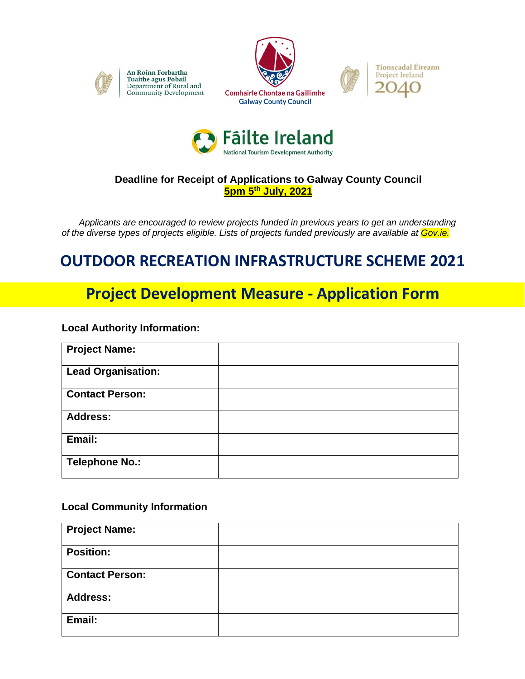

An Roinn Forbartha **Tuaithe agus Pobail** Department of Rural and Community Development







## **Deadline for Receipt of Applications to Galway County Council 5pm 5th July, 2021**

 *Applicants are encouraged to review projects funded in previous years to get an understanding of the diverse types of projects eligible. Lists of projects funded previously are available at Gov.ie.*

# **OUTDOOR RECREATION INFRASTRUCTURE SCHEME 2021**

# **Project Development Measure - Application Form**

#### **Local Authority Information:**

| <b>Project Name:</b>      |  |
|---------------------------|--|
| <b>Lead Organisation:</b> |  |
| <b>Contact Person:</b>    |  |
| <b>Address:</b>           |  |
| Email:                    |  |
| <b>Telephone No.:</b>     |  |

#### **Local Community Information**

| <b>Project Name:</b>   |  |
|------------------------|--|
| <b>Position:</b>       |  |
| <b>Contact Person:</b> |  |
| <b>Address:</b>        |  |
| Email:                 |  |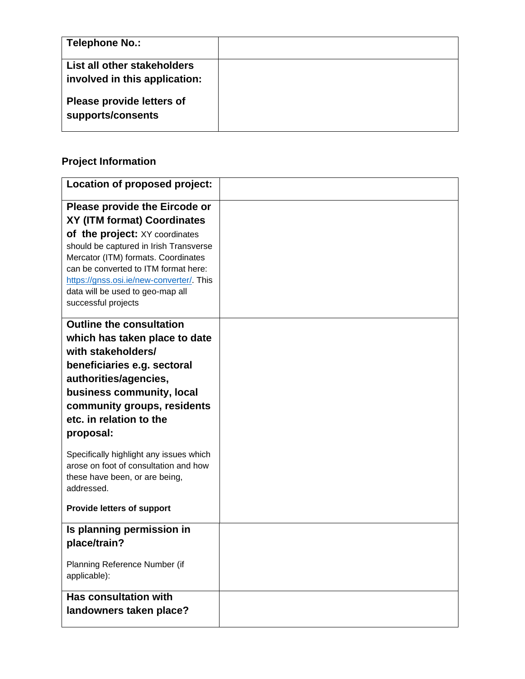| Telephone No.:                                               |  |
|--------------------------------------------------------------|--|
| List all other stakeholders<br>involved in this application: |  |
| Please provide letters of<br>supports/consents               |  |

## **Project Information**

| Location of proposed project:                                                                                                                                                                                                                                  |  |
|----------------------------------------------------------------------------------------------------------------------------------------------------------------------------------------------------------------------------------------------------------------|--|
| Please provide the Eircode or                                                                                                                                                                                                                                  |  |
| <b>XY (ITM format) Coordinates</b>                                                                                                                                                                                                                             |  |
| of the project: XY coordinates<br>should be captured in Irish Transverse<br>Mercator (ITM) formats. Coordinates<br>can be converted to ITM format here:<br>https://gnss.osi.ie/new-converter/. This<br>data will be used to geo-map all<br>successful projects |  |
| <b>Outline the consultation</b>                                                                                                                                                                                                                                |  |
| which has taken place to date                                                                                                                                                                                                                                  |  |
| with stakeholders/                                                                                                                                                                                                                                             |  |
| beneficiaries e.g. sectoral                                                                                                                                                                                                                                    |  |
| authorities/agencies,                                                                                                                                                                                                                                          |  |
| business community, local                                                                                                                                                                                                                                      |  |
| community groups, residents                                                                                                                                                                                                                                    |  |
| etc. in relation to the                                                                                                                                                                                                                                        |  |
| proposal:                                                                                                                                                                                                                                                      |  |
| Specifically highlight any issues which<br>arose on foot of consultation and how<br>these have been, or are being,                                                                                                                                             |  |
| addressed.                                                                                                                                                                                                                                                     |  |
| <b>Provide letters of support</b>                                                                                                                                                                                                                              |  |
| Is planning permission in                                                                                                                                                                                                                                      |  |
| place/train?                                                                                                                                                                                                                                                   |  |
| Planning Reference Number (if<br>applicable):                                                                                                                                                                                                                  |  |
| <b>Has consultation with</b>                                                                                                                                                                                                                                   |  |
| landowners taken place?                                                                                                                                                                                                                                        |  |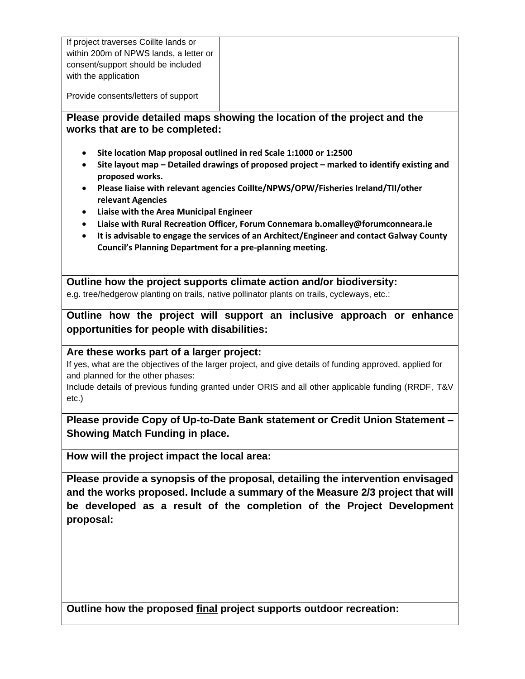If project traverses Coillte lands or within 200m of NPWS lands, a letter or consent/support should be included with the application

Provide consents/letters of support

#### **Please provide detailed maps showing the location of the project and the works that are to be completed:**

- **Site location Map proposal outlined in red Scale 1:1000 or 1:2500**
- **Site layout map – Detailed drawings of proposed project – marked to identify existing and proposed works.**
- **Please liaise with relevant agencies Coillte/NPWS/OPW/Fisheries Ireland/TII/other relevant Agencies**
- **Liaise with the Area Municipal Engineer**
- **Liaise with Rural Recreation Officer, Forum Connemara b.omalley@forumconneara.ie**
- **It is advisable to engage the services of an Architect/Engineer and contact Galway County Council's Planning Department for a pre-planning meeting.**

**Outline how the project supports climate action and/or biodiversity:**

e.g. tree/hedgerow planting on trails, native pollinator plants on trails, cycleways, etc.:

**Outline how the project will support an inclusive approach or enhance opportunities for people with disabilities:**

#### **Are these works part of a larger project:**

If yes, what are the objectives of the larger project, and give details of funding approved, applied for and planned for the other phases:

Include details of previous funding granted under ORIS and all other applicable funding (RRDF, T&V etc.)

**Please provide Copy of Up-to-Date Bank statement or Credit Union Statement – Showing Match Funding in place.**

**How will the project impact the local area:**

**Please provide a synopsis of the proposal, detailing the intervention envisaged and the works proposed. Include a summary of the Measure 2/3 project that will be developed as a result of the completion of the Project Development proposal:** 

**Outline how the proposed final project supports outdoor recreation:**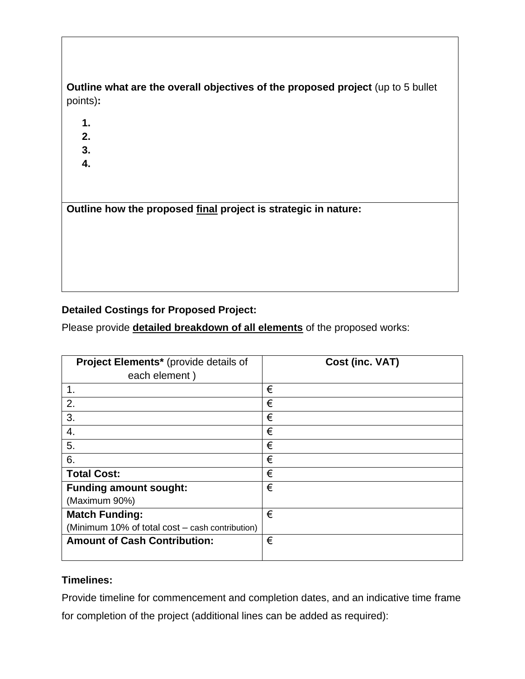## **Outline what are the overall objectives of the proposed project** (up to 5 bullet points)**:**

- **1.**
- **2.**
- **3.**
- **4.**

**Outline how the proposed final project is strategic in nature:** 

## **Detailed Costings for Proposed Project:**

Please provide **detailed breakdown of all elements** of the proposed works:

| Project Elements* (provide details of           | Cost (inc. VAT) |
|-------------------------------------------------|-----------------|
| each element)                                   |                 |
| 1.                                              | €               |
| 2.                                              | €               |
| 3.                                              | €               |
| 4.                                              | €               |
| 5.                                              | €               |
| 6.                                              | €               |
| <b>Total Cost:</b>                              | €               |
| <b>Funding amount sought:</b>                   | €               |
| (Maximum 90%)                                   |                 |
| <b>Match Funding:</b>                           | €               |
| (Minimum 10% of total cost – cash contribution) |                 |
| <b>Amount of Cash Contribution:</b>             | €               |
|                                                 |                 |

#### **Timelines:**

Provide timeline for commencement and completion dates, and an indicative time frame for completion of the project (additional lines can be added as required):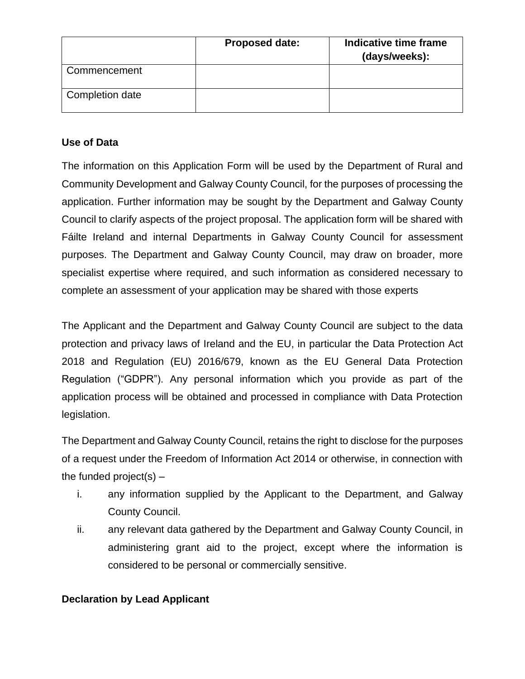|                 | <b>Proposed date:</b> | Indicative time frame<br>(days/weeks): |
|-----------------|-----------------------|----------------------------------------|
| Commencement    |                       |                                        |
| Completion date |                       |                                        |

### **Use of Data**

The information on this Application Form will be used by the Department of Rural and Community Development and Galway County Council, for the purposes of processing the application. Further information may be sought by the Department and Galway County Council to clarify aspects of the project proposal. The application form will be shared with Fáilte Ireland and internal Departments in Galway County Council for assessment purposes. The Department and Galway County Council, may draw on broader, more specialist expertise where required, and such information as considered necessary to complete an assessment of your application may be shared with those experts

The Applicant and the Department and Galway County Council are subject to the data protection and privacy laws of Ireland and the EU, in particular the Data Protection Act 2018 and Regulation (EU) 2016/679, known as the EU General Data Protection Regulation ("GDPR"). Any personal information which you provide as part of the application process will be obtained and processed in compliance with Data Protection legislation.

The Department and Galway County Council, retains the right to disclose for the purposes of a request under the Freedom of Information Act 2014 or otherwise, in connection with the funded project(s)  $-$ 

- i. any information supplied by the Applicant to the Department, and Galway County Council.
- ii. any relevant data gathered by the Department and Galway County Council, in administering grant aid to the project, except where the information is considered to be personal or commercially sensitive.

### **Declaration by Lead Applicant**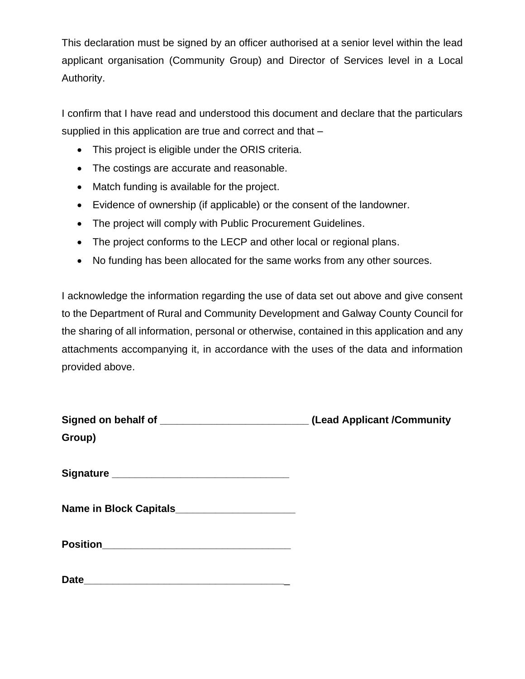This declaration must be signed by an officer authorised at a senior level within the lead applicant organisation (Community Group) and Director of Services level in a Local Authority.

I confirm that I have read and understood this document and declare that the particulars supplied in this application are true and correct and that –

- This project is eligible under the ORIS criteria.
- The costings are accurate and reasonable.
- Match funding is available for the project.
- Evidence of ownership (if applicable) or the consent of the landowner.
- The project will comply with Public Procurement Guidelines.
- The project conforms to the LECP and other local or regional plans.
- No funding has been allocated for the same works from any other sources.

I acknowledge the information regarding the use of data set out above and give consent to the Department of Rural and Community Development and Galway County Council for the sharing of all information, personal or otherwise, contained in this application and any attachments accompanying it, in accordance with the uses of the data and information provided above.

| Signed on behalf of _______________________________(Lead Applicant /Community |  |
|-------------------------------------------------------------------------------|--|
| Group)                                                                        |  |
|                                                                               |  |
|                                                                               |  |
|                                                                               |  |
| Name in Block Capitals__________________________                              |  |
|                                                                               |  |
| Date                                                                          |  |